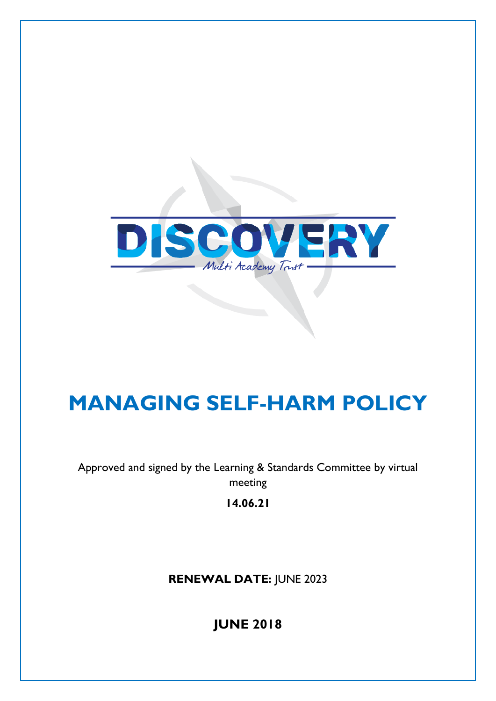

# **MANAGING SELF-HARM POLICY**

Approved and signed by the Learning & Standards Committee by virtual meeting

**14.06.21**

**RENEWAL DATE:** JUNE 2023

**JUNE 2018**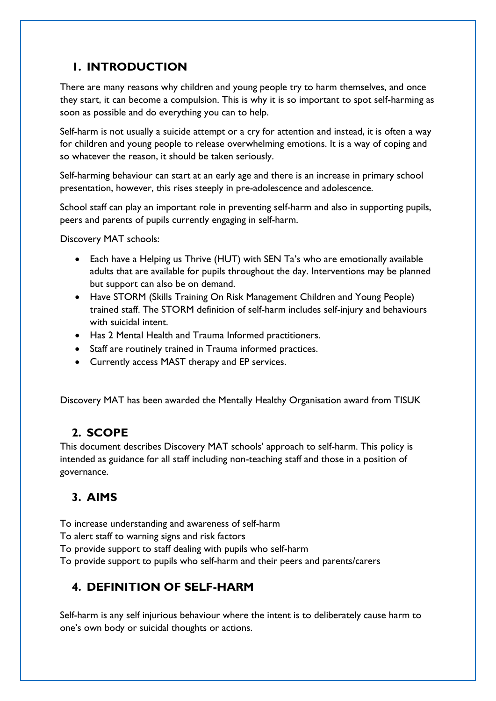## **1. INTRODUCTION**

There are many reasons why children and young people try to harm themselves, and once they start, it can become a compulsion. This is why it is so important to spot self-harming as soon as possible and do everything you can to help.

Self-harm is not usually a suicide attempt or a cry for attention and instead, it is often a way for children and young people to release overwhelming emotions. It is a way of coping and so whatever the reason, it should be taken seriously.

Self-harming behaviour can start at an early age and there is an increase in primary school presentation, however, this rises steeply in pre-adolescence and adolescence.

School staff can play an important role in preventing self-harm and also in supporting pupils, peers and parents of pupils currently engaging in self-harm.

Discovery MAT schools:

- Each have a Helping us Thrive (HUT) with SEN Ta's who are emotionally available adults that are available for pupils throughout the day. Interventions may be planned but support can also be on demand.
- Have STORM (Skills Training On Risk Management Children and Young People) trained staff. The STORM definition of self-harm includes self-injury and behaviours with suicidal intent.
- Has 2 Mental Health and Trauma Informed practitioners.
- Staff are routinely trained in Trauma informed practices.
- Currently access MAST therapy and EP services.

Discovery MAT has been awarded the Mentally Healthy Organisation award from TISUK

# **2. SCOPE**

This document describes Discovery MAT schools' approach to self-harm. This policy is intended as guidance for all staff including non-teaching staff and those in a position of governance.

# **3. AIMS**

To increase understanding and awareness of self-harm

To alert staff to warning signs and risk factors

To provide support to staff dealing with pupils who self-harm

To provide support to pupils who self-harm and their peers and parents/carers

# **4. DEFINITION OF SELF-HARM**

Self-harm is any self injurious behaviour where the intent is to deliberately cause harm to one's own body or suicidal thoughts or actions.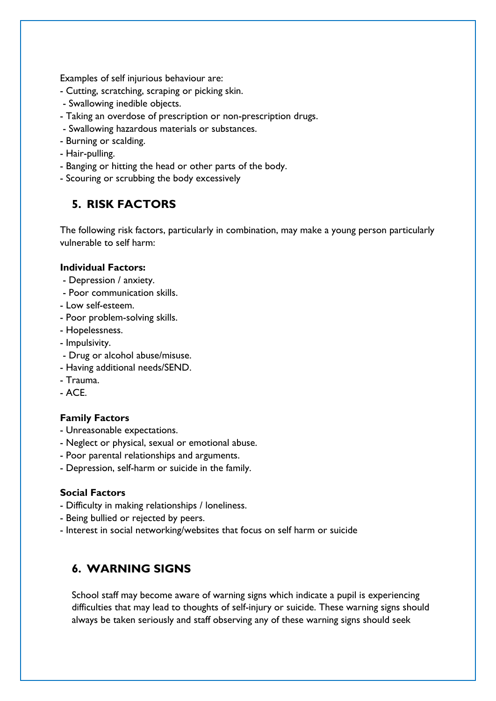Examples of self injurious behaviour are:

- Cutting, scratching, scraping or picking skin.
- Swallowing inedible objects.
- Taking an overdose of prescription or non-prescription drugs.
- Swallowing hazardous materials or substances.
- Burning or scalding.
- Hair-pulling.
- Banging or hitting the head or other parts of the body.
- Scouring or scrubbing the body excessively

## **5. RISK FACTORS**

The following risk factors, particularly in combination, may make a young person particularly vulnerable to self harm:

#### **Individual Factors:**

- Depression / anxiety.
- Poor communication skills.
- Low self-esteem.
- Poor problem-solving skills.
- Hopelessness.
- Impulsivity.
- Drug or alcohol abuse/misuse.
- Having additional needs/SEND.
- Trauma.
- $-$  ACF.

#### **Family Factors**

- Unreasonable expectations.
- Neglect or physical, sexual or emotional abuse.
- Poor parental relationships and arguments.
- Depression, self-harm or suicide in the family.

#### **Social Factors**

- Difficulty in making relationships / loneliness.
- Being bullied or rejected by peers.
- Interest in social networking/websites that focus on self harm or suicide

### **6. WARNING SIGNS**

School staff may become aware of warning signs which indicate a pupil is experiencing difficulties that may lead to thoughts of self-injury or suicide. These warning signs should always be taken seriously and staff observing any of these warning signs should seek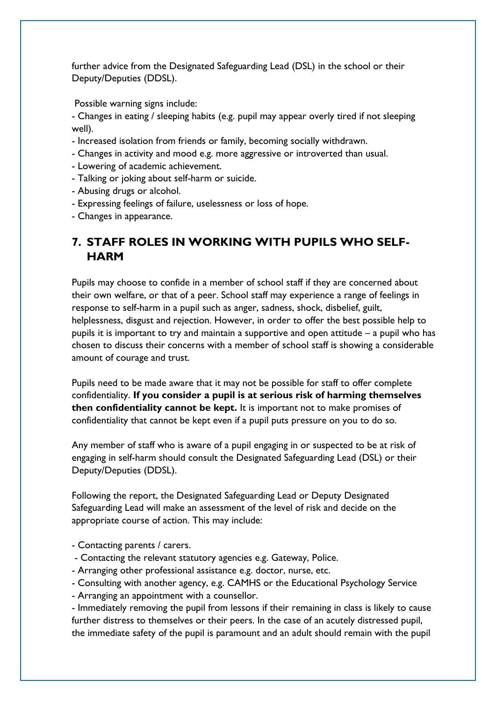further advice from the Designated Safeguarding Lead (DSL) in the school or their Deputy/Deputies (DDSL).

Possible warning signs include:

- Changes in eating / sleeping habits (e.g. pupil may appear overly tired if not sleeping well).

- Increased isolation from friends or family, becoming socially withdrawn.
- Changes in activity and mood e.g. more aggressive or introverted than usual.
- Lowering of academic achievement.
- Talking or joking about self-harm or suicide.
- Abusing drugs or alcohol.
- Expressing feelings of failure, uselessness or loss of hope.
- Changes in appearance.

## **7. STAFF ROLES IN WORKING WITH PUPILS WHO SELF-HARM**

Pupils may choose to confide in a member of school staff if they are concerned about their own welfare, or that of a peer. School staff may experience a range of feelings in response to self-harm in a pupil such as anger, sadness, shock, disbelief, guilt, helplessness, disgust and rejection. However, in order to offer the best possible help to pupils it is important to try and maintain a supportive and open attitude – a pupil who has chosen to discuss their concerns with a member of school staff is showing a considerable amount of courage and trust.

Pupils need to be made aware that it may not be possible for staff to offer complete confidentiality. **If you consider a pupil is at serious risk of harming themselves then confidentiality cannot be kept.** It is important not to make promises of confidentiality that cannot be kept even if a pupil puts pressure on you to do so.

Any member of staff who is aware of a pupil engaging in or suspected to be at risk of engaging in self-harm should consult the Designated Safeguarding Lead (DSL) or their Deputy/Deputies (DDSL).

Following the report, the Designated Safeguarding Lead or Deputy Designated Safeguarding Lead will make an assessment of the level of risk and decide on the appropriate course of action. This may include:

- Contacting parents / carers.
- Contacting the relevant statutory agencies e.g. Gateway, Police.
- Arranging other professional assistance e.g. doctor, nurse, etc.
- Consulting with another agency, e.g. CAMHS or the Educational Psychology Service
- Arranging an appointment with a counsellor.

- Immediately removing the pupil from lessons if their remaining in class is likely to cause further distress to themselves or their peers. In the case of an acutely distressed pupil, the immediate safety of the pupil is paramount and an adult should remain with the pupil